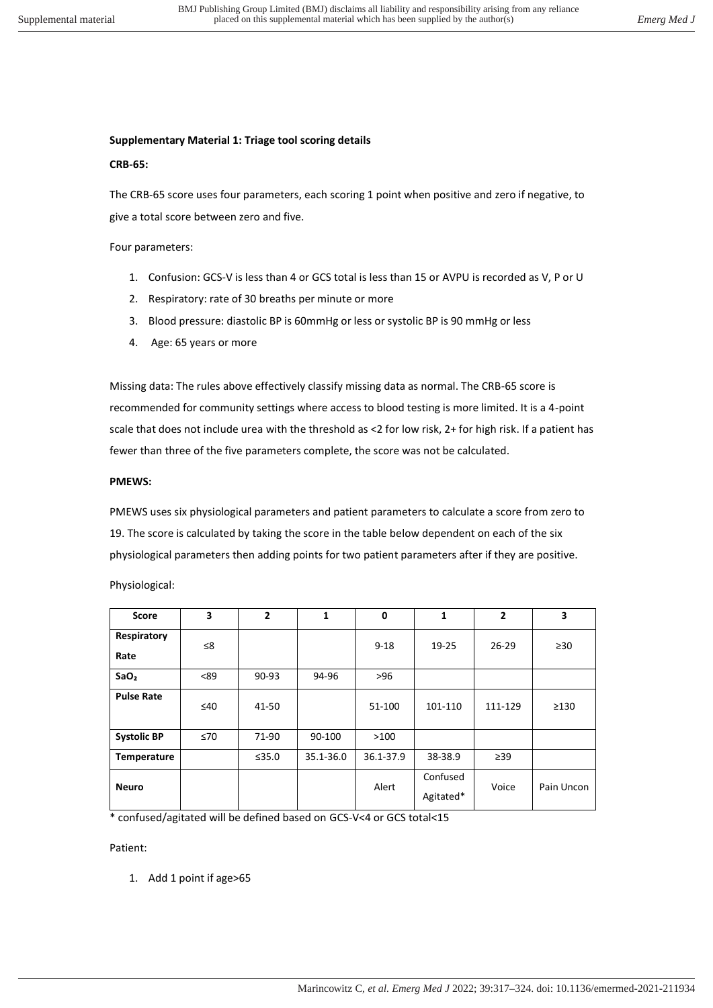## **Supplementary Material 1: Triage tool scoring details**

## **CRB-65:**

The CRB-65 score uses four parameters, each scoring 1 point when positive and zero if negative, to give a total score between zero and five.

Four parameters:

- 1. Confusion: GCS-V is less than 4 or GCS total is less than 15 or AVPU is recorded as V, P or U
- 2. Respiratory: rate of 30 breaths per minute or more
- 3. Blood pressure: diastolic BP is 60mmHg or less or systolic BP is 90 mmHg or less
- 4. Age: 65 years or more

Missing data: The rules above effectively classify missing data as normal. The CRB-65 score is recommended for community settings where access to blood testing is more limited. It is a 4-point scale that does not include urea with the threshold as <2 for low risk, 2+ for high risk. If a patient has fewer than three of the five parameters complete, the score was not be calculated.

#### **PMEWS:**

PMEWS uses six physiological parameters and patient parameters to calculate a score from zero to 19. The score is calculated by taking the score in the table below dependent on each of the six physiological parameters then adding points for two patient parameters after if they are positive.

Physiological:

| <b>Score</b>        | 3         | $\overline{2}$ | 1         | $\mathbf 0$ | 1                     | $\overline{2}$ | 3          |
|---------------------|-----------|----------------|-----------|-------------|-----------------------|----------------|------------|
| Respiratory<br>Rate | ≤8        |                |           | $9 - 18$    | 19-25                 | $26 - 29$      | $\geq 30$  |
| SaO <sub>2</sub>    | < 89      | 90-93          | 94-96     | $>96$       |                       |                |            |
| <b>Pulse Rate</b>   | ≤40       | 41-50          |           | 51-100      | 101-110               | 111-129        | $\geq$ 130 |
| <b>Systolic BP</b>  | $\leq 70$ | 71-90          | 90-100    | >100        |                       |                |            |
| Temperature         |           | ≤35.0          | 35.1-36.0 | 36.1-37.9   | 38-38.9               | $\geq$ 39      |            |
| <b>Neuro</b>        |           |                |           | Alert       | Confused<br>Agitated* | Voice          | Pain Uncon |

\* confused/agitated will be defined based on GCS-V<4 or GCS total<15

Patient:

1. Add 1 point if age>65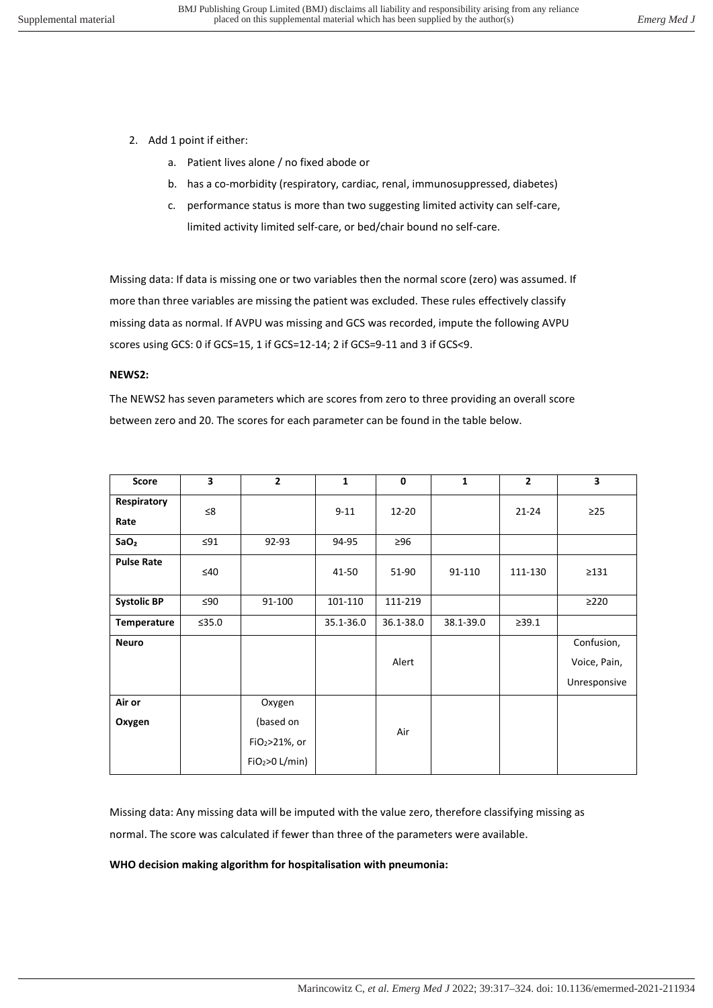- 2. Add 1 point if either:
	- a. Patient lives alone / no fixed abode or
	- b. has a co-morbidity (respiratory, cardiac, renal, immunosuppressed, diabetes)
	- c. performance status is more than two suggesting limited activity can self-care, limited activity limited self-care, or bed/chair bound no self-care.

Missing data: If data is missing one or two variables then the normal score (zero) was assumed. If more than three variables are missing the patient was excluded. These rules effectively classify missing data as normal. If AVPU was missing and GCS was recorded, impute the following AVPU scores using GCS: 0 if GCS=15, 1 if GCS=12-14; 2 if GCS=9-11 and 3 if GCS<9.

#### **NEWS2:**

The NEWS2 has seven parameters which are scores from zero to three providing an overall score between zero and 20. The scores for each parameter can be found in the table below.

| <b>Score</b>        | 3         | $\overline{2}$             | 1         | $\mathbf 0$ | $\mathbf{1}$ | $\overline{2}$ | 3                          |
|---------------------|-----------|----------------------------|-----------|-------------|--------------|----------------|----------------------------|
| Respiratory<br>Rate | ≤8        |                            | $9 - 11$  | 12-20       |              | $21 - 24$      | $\geq$ 25                  |
| SaO <sub>2</sub>    | $\leq$ 91 | 92-93                      | 94-95     | $\geq 96$   |              |                |                            |
| <b>Pulse Rate</b>   | $\leq 40$ |                            | 41-50     | 51-90       | 91-110       | 111-130        | $\geq$ 131                 |
| <b>Systolic BP</b>  | ≤90       | 91-100                     | 101-110   | 111-219     |              |                | $\geq$ 220                 |
| Temperature         | ≤35.0     |                            | 35.1-36.0 | 36.1-38.0   | 38.1-39.0    | >39.1          |                            |
| <b>Neuro</b>        |           |                            |           | Alert       |              |                | Confusion,<br>Voice, Pain, |
|                     |           |                            |           |             |              |                | Unresponsive               |
| Air or              |           | Oxygen                     |           |             |              |                |                            |
| Oxygen              |           | (based on                  |           | Air         |              |                |                            |
|                     |           | FiO2>21%, or               |           |             |              |                |                            |
|                     |           | FiO <sub>2</sub> >O L/min) |           |             |              |                |                            |

Missing data: Any missing data will be imputed with the value zero, therefore classifying missing as normal. The score was calculated if fewer than three of the parameters were available.

#### **WHO decision making algorithm for hospitalisation with pneumonia:**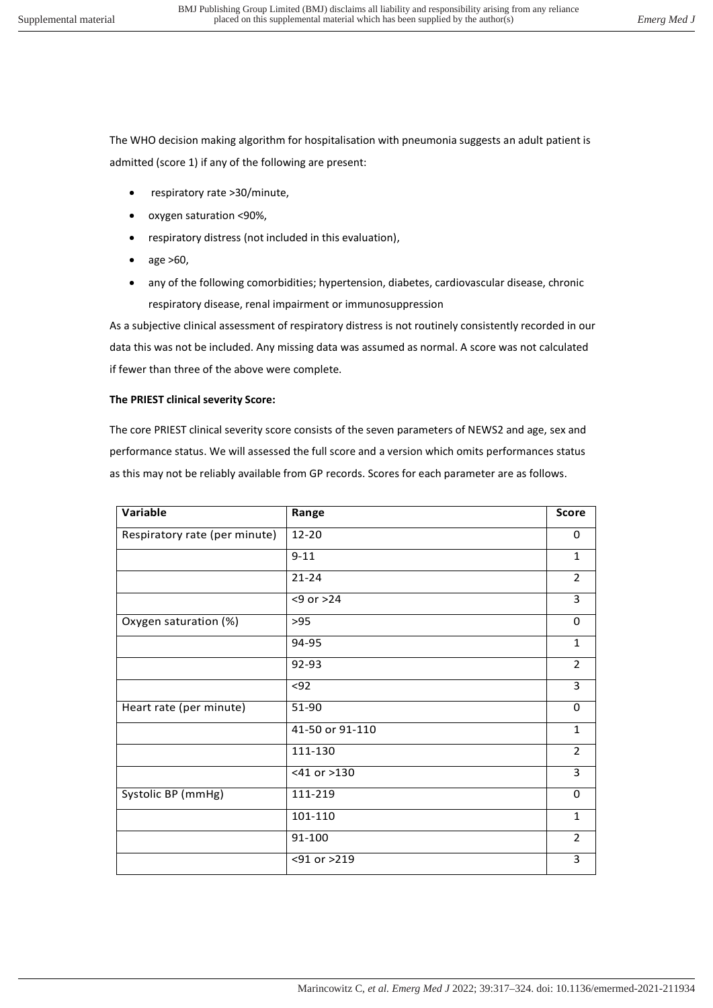The WHO decision making algorithm for hospitalisation with pneumonia suggests an adult patient is admitted (score 1) if any of the following are present:

- respiratory rate >30/minute,
- oxygen saturation <90%,
- respiratory distress (not included in this evaluation),
- age >60,
- any of the following comorbidities; hypertension, diabetes, cardiovascular disease, chronic respiratory disease, renal impairment or immunosuppression

As a subjective clinical assessment of respiratory distress is not routinely consistently recorded in our data this was not be included. Any missing data was assumed as normal. A score was not calculated if fewer than three of the above were complete.

## **The PRIEST clinical severity Score:**

The core PRIEST clinical severity score consists of the seven parameters of NEWS2 and age, sex and performance status. We will assessed the full score and a version which omits performances status as this may not be reliably available from GP records. Scores for each parameter are as follows.

| Variable                      | Range           | <b>Score</b>   |
|-------------------------------|-----------------|----------------|
| Respiratory rate (per minute) | 12-20           | 0              |
|                               | $9 - 11$        | $\mathbf{1}$   |
|                               | $21 - 24$       | 2              |
|                               | $<9$ or $>24$   | 3              |
| Oxygen saturation (%)         | >95             | 0              |
|                               | 94-95           | $\mathbf{1}$   |
|                               | 92-93           | $\overline{2}$ |
|                               | $92$            | 3              |
| Heart rate (per minute)       | 51-90           | 0              |
|                               | 41-50 or 91-110 | $\mathbf{1}$   |
|                               | 111-130         | 2              |
|                               | <41 or >130     | 3              |
| Systolic BP (mmHg)            | 111-219         | 0              |
|                               | 101-110         | $\mathbf{1}$   |
|                               | 91-100          | $\overline{2}$ |
|                               | <91 or >219     | 3              |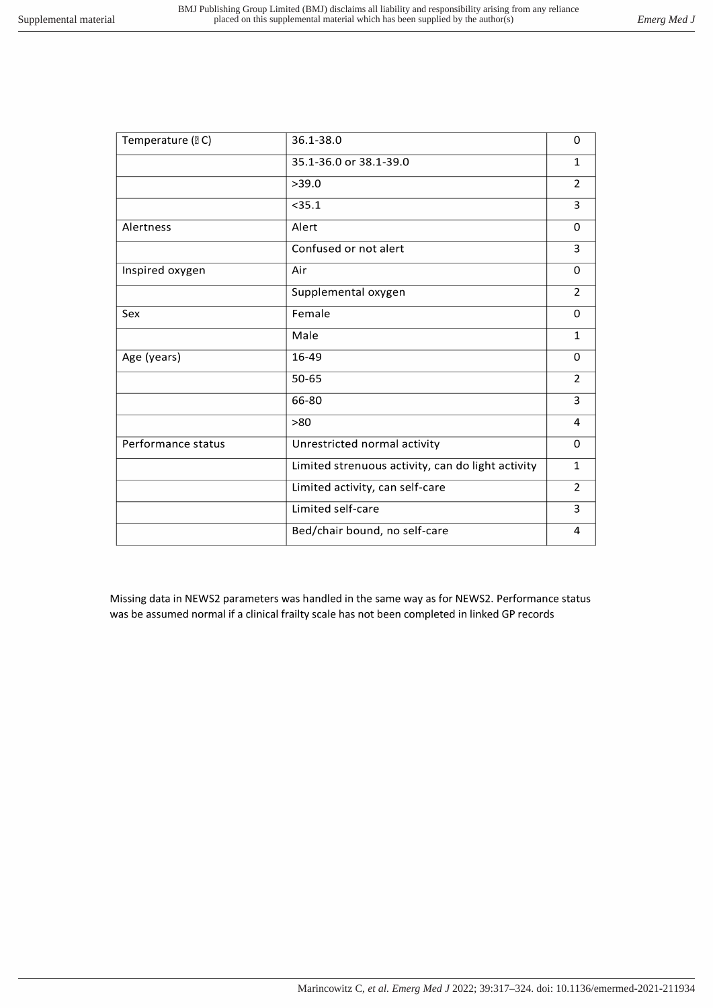| Temperature (DC)   | 36.1-38.0                                         | 0              |
|--------------------|---------------------------------------------------|----------------|
|                    | 35.1-36.0 or 38.1-39.0                            | $\mathbf{1}$   |
|                    | >39.0                                             | $\overline{2}$ |
|                    | < 35.1                                            | 3              |
| Alertness          | Alert                                             | $\Omega$       |
|                    | Confused or not alert                             | 3              |
| Inspired oxygen    | Air                                               | $\mathbf 0$    |
|                    | Supplemental oxygen                               | $\overline{2}$ |
| Sex                | Female                                            | $\Omega$       |
|                    | Male                                              | $\mathbf{1}$   |
| Age (years)        | 16-49                                             | 0              |
|                    | 50-65                                             | $\overline{2}$ |
|                    | 66-80                                             | 3              |
|                    | >80                                               | 4              |
| Performance status | Unrestricted normal activity                      | $\Omega$       |
|                    | Limited strenuous activity, can do light activity | $\mathbf{1}$   |
|                    | Limited activity, can self-care                   | $\overline{2}$ |
|                    | Limited self-care                                 | 3              |
|                    | Bed/chair bound, no self-care                     | 4              |
|                    |                                                   |                |

Missing data in NEWS2 parameters was handled in the same way as for NEWS2. Performance status was be assumed normal if a clinical frailty scale has not been completed in linked GP records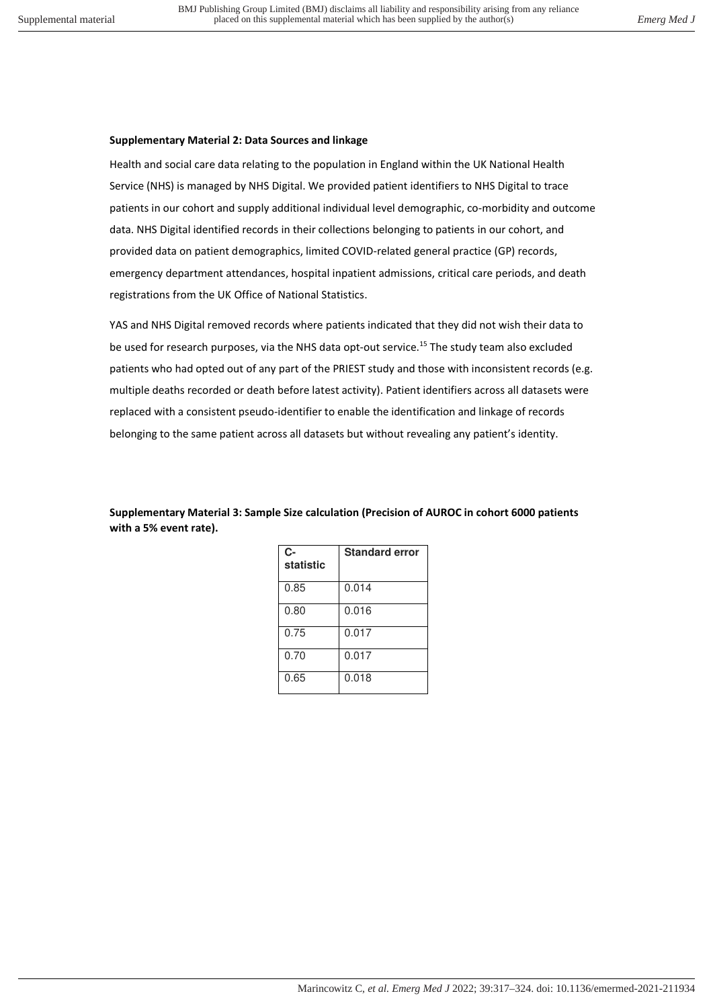## **Supplementary Material 2: Data Sources and linkage**

Health and social care data relating to the population in England within the UK National Health Service (NHS) is managed by NHS Digital. We provided patient identifiers to NHS Digital to trace patients in our cohort and supply additional individual level demographic, co-morbidity and outcome data. NHS Digital identified records in their collections belonging to patients in our cohort, and provided data on patient demographics, limited COVID-related general practice (GP) records, emergency department attendances, hospital inpatient admissions, critical care periods, and death registrations from the UK Office of National Statistics.

YAS and NHS Digital removed records where patients indicated that they did not wish their data to be used for research purposes, via the NHS data opt-out service.<sup>15</sup> The study team also excluded patients who had opted out of any part of the PRIEST study and those with inconsistent records (e.g. multiple deaths recorded or death before latest activity). Patient identifiers across all datasets were replaced with a consistent pseudo-identifier to enable the identification and linkage of records belonging to the same patient across all datasets but without revealing any patient's identity.

**Supplementary Material 3: Sample Size calculation (Precision of AUROC in cohort 6000 patients with a 5% event rate).** 

| C-<br>statistic | <b>Standard error</b> |
|-----------------|-----------------------|
| 0.85            | 0.014                 |
| 0.80            | 0.016                 |
| 0.75            | 0.017                 |
| 0.70            | 0.017                 |
| 0.65            | 0.018                 |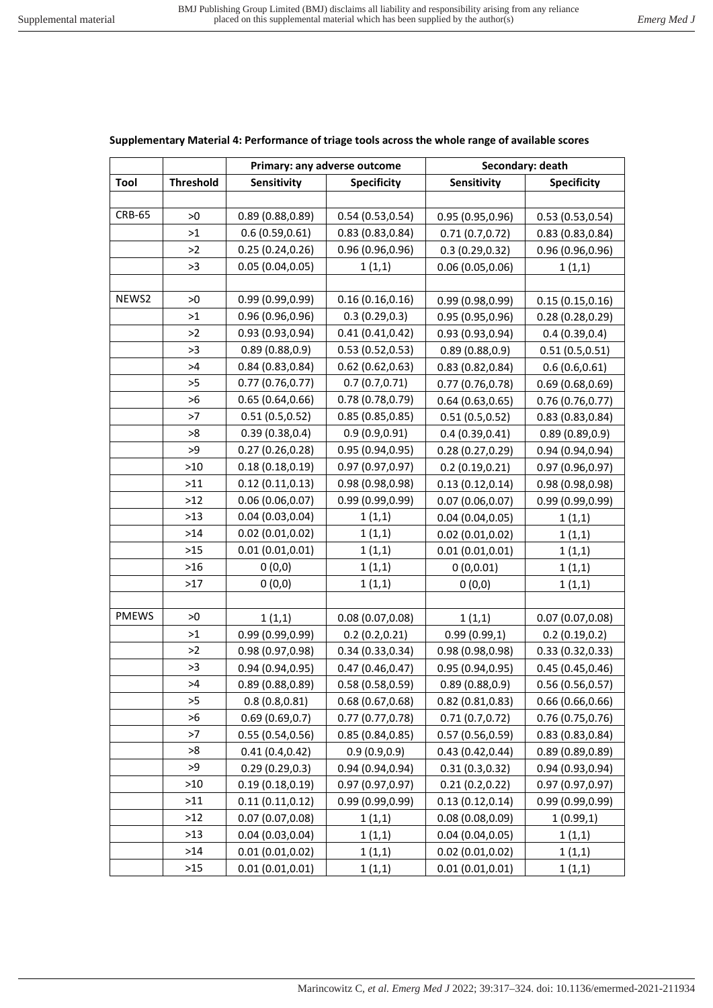**Primary: any adverse outcome**  $\qquad$  **Secondary: death** 

# Tool Threshold Sensitivity Specificity Sensitivity Specificity  $CRB-65$  >0 0.89 (0.88,0.89) 0.54 (0.53,0.54) 0.95 (0.95,0.96) 0.53 (0.53,0.54)  $\vert$  0.6 (0.59,0.61) 0.83 (0.83,0.84) 0.71 (0.7,0.72) 0.83 (0.83,0.84)  $>2$  0.25 (0.24,0.26) 0.96 (0.96,0.96) 0.3 (0.29,0.32) 0.96 (0.96,0.96)  $>3$  0.05 (0.04,0.05) 1 (1,1) 0.06 (0.05,0.06) 1 (1,1) NEWS2  $\vert$  >0  $\vert$  0.99 (0.99,0.99) 0.16 (0.16,0.16) 0.99 (0.98,0.99) 0.15 (0.15,0.16)  $\vert$  0.96 (0.96,0.96) 0.3 (0.29,0.3) 0.95 (0.95,0.96) 0.28 (0.28,0.29)  $\vert$  0.93 (0.93,0.94) 0.41 (0.41,0.42) 0.93 (0.93,0.94) 0.4 (0.39,0.4)  $\rightarrow$ 3 0.89 (0.88,0.9) 0.53 (0.52,0.53) 0.89 (0.88,0.9) 0.51 (0.5,0.51)  $>4$  0.84 (0.83,0.84) 0.62 (0.62,0.63) 0.83 (0.82,0.84) 0.6 (0.6,0.61) >5 0.77 (0.76,0.77) 0.7 (0.7,0.71) 0.77 (0.76,0.78) 0.69 (0.68,0.69)  $>6$  0.65 (0.64,0.66) 0.78 (0.78,0.79) 0.64 (0.63,0.65) 0.76 (0.76,0.77)  $\vert$  0.51 (0.5,0.52) 0.85 (0.85,0.85) 0.51 (0.5,0.52) 0.83 (0.83,0.84) >8 0.39 (0.38,0.4) 0.9 (0.9,0.91) 0.4 (0.39,0.41) 0.89 (0.89,0.9)  $\rightarrow$ 9  $\mid$  0.27 (0.26,0.28)  $\mid$  0.95 (0.94,0.95) 0.28 (0.27,0.29) 0.94 (0.94,0.94)  $\vert$  0.18 (0.18,0.19)  $\vert$  0.97 (0.97,0.97) 0.2 (0.19,0.21) 0.97 (0.96,0.97)  $\triangleright$ 11 | 0.12 (0.11,0.13) | 0.98 (0.98,0.98) | 0.13 (0.12,0.14) | 0.98 (0.98,0.98)  $>12$   $\big|$  0.06 (0.06,0.07) 0.99 (0.99,0.99) 0.07 (0.06,0.07) 0.99 (0.99,0.99)  $>13$  | 0.04 (0.03,0.04) | 1 (1,1) | 0.04 (0.04,0.05) | 1 (1,1)  $>14$   $\begin{array}{|c|c|c|c|c|c|c|c|} \hline \rule{0pt}{1.2ex} & 0.02 & (0.01, 0.02) & & 1 & (1,1) \ \hline \end{array}$   $1(1,1)$   $0.02 & (0.01, 0.02)$   $1(1,1)$  $>15$   $\begin{array}{|c|c|c|c|c|c|c|c|c|} \hline 0.01 & (0.01, 0.01) & 1 & (1,1) \ \hline \end{array}$  1 (1,1)  $\begin{array}{|c|c|c|c|c|c|c|c|c|} \hline 0.01 & (0.01, 0.01) & 1 & (1,1) \ \hline \end{array}$ >16 0 (0,0) 1 (1,1) 0 (0,0.01) 1 (1,1)  $>17$  0 (0,0)  $1(1,1)$  0 (0,0) 1 (1,1) PMEWS  $>0$  1 (1,1) 0.08 (0.07,0.08) 1 (1,1) 0.07 (0.07,0.08) >1 0.99 (0.99,0.99) 0.2 (0.2,0.21) 0.99 (0.99,1) 0.2 (0.19,0.2)  $\vert$  0.98 (0.97,0.98) 0.34 (0.33,0.34) 0.98 (0.98,0.98) 0.33 (0.32,0.33)  $\rightarrow$ 3 0.94 (0.94,0.95) 0.47 (0.46,0.47) 0.95 (0.94,0.95) 0.45 (0.45,0.46)  $>4$  0.89 (0.88,0.89) 0.58 (0.58,0.59) 0.89 (0.88,0.9) 0.56 (0.56,0.57)  $\rightarrow$  5 0.8 (0.8,0.81) 0.68 (0.67,0.68) 0.82 (0.81,0.83) 0.66 (0.66,0.66)

 $>6$  0.69 (0.69,0.7) 0.77 (0.77,0.78) 0.71 (0.7,0.72) 0.76 (0.75,0.76)  $\vert$  0.55 (0.54,0.56) 0.85 (0.84,0.85) 0.57 (0.56,0.59) 0.83 (0.83,0.84) >8 0.41 (0.4,0.42) 0.9 (0.9,0.9) 0.43 (0.42,0.44) 0.89 (0.89,0.89)  $\rightarrow$ 9 0.29 (0.29,0.3) 0.94 (0.94,0.94) 0.31 (0.3,0.32) 0.94 (0.93,0.94) >10 0.19 (0.18,0.19) 0.97 (0.97,0.97) 0.21 (0.2,0.22) 0.97 (0.97,0.97) >11 0.11 (0.11,0.12) 0.99 (0.99,0.99) 0.13 (0.12,0.14) 0.99 (0.99,0.99)  $\begin{array}{|c|c|c|c|c|c|c|c|}\n \hline\n \text{0.07 (0.07, 0.08)} & & 1 \text{(1,1)} & & 0.08 \text{(0.08, 0.09)} & 1 \text{(0.99,1)} \\
\hline\n \end{array}$  $>13$  | 0.04 (0.03,0.04) | 1 (1,1) | 0.04 (0.04,0.05) | 1 (1,1)  $>14$  | 0.01 (0.01,0.02) | 1 (1,1) | 0.02 (0.01,0.02) | 1 (1,1) >15 0.01 (0.01,0.01) 1 (1,1) 0.01 (0.01,0.01) 1 (1,1)

#### **Supplementary Material 4: Performance of triage tools across the whole range of available scores**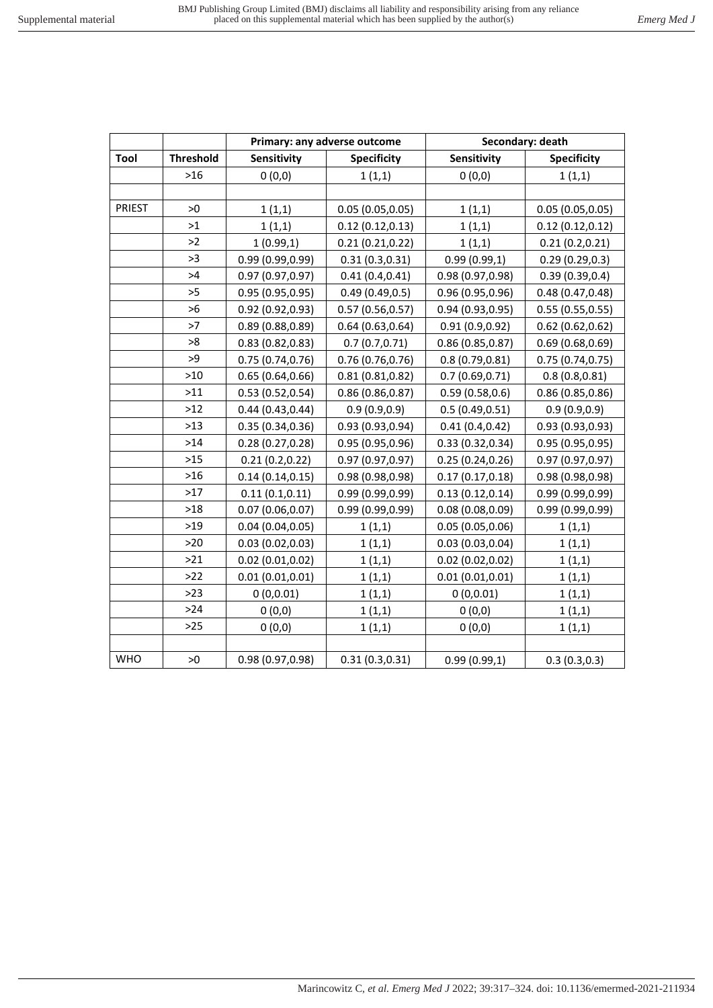|               |                  |                    | Primary: any adverse outcome | Secondary: death |                    |  |  |
|---------------|------------------|--------------------|------------------------------|------------------|--------------------|--|--|
| Tool          | <b>Threshold</b> | <b>Sensitivity</b> | <b>Specificity</b>           | Sensitivity      | <b>Specificity</b> |  |  |
|               | $>16$            | 0(0,0)             | 1(1,1)                       | 0(0,0)           | 1(1,1)             |  |  |
|               |                  |                    |                              |                  |                    |  |  |
| <b>PRIEST</b> | >0               | 1(1,1)             | 0.05(0.05, 0.05)             | 1(1,1)           | 0.05(0.05, 0.05)   |  |  |
|               | >1               | 1(1,1)             | 0.12(0.12, 0.13)             | 1(1,1)           | 0.12(0.12, 0.12)   |  |  |
|               | >2               | 1(0.99,1)          | 0.21(0.21, 0.22)             | 1(1,1)           | 0.21(0.2,0.21)     |  |  |
|               | >3               | 0.99(0.99, 0.99)   | 0.31(0.3, 0.31)              | 0.99(0.99,1)     | 0.29(0.29, 0.3)    |  |  |
|               | >4               | 0.97(0.97, 0.97)   | 0.41(0.4, 0.41)              | 0.98 (0.97,0.98) | 0.39(0.39, 0.4)    |  |  |
|               | >5               | 0.95(0.95, 0.95)   | 0.49(0.49, 0.5)              | 0.96(0.95, 0.96) | 0.48(0.47, 0.48)   |  |  |
|               | >6               | 0.92(0.92, 0.93)   | 0.57(0.56, 0.57)             | 0.94(0.93, 0.95) | 0.55(0.55, 0.55)   |  |  |
|               | >7               | 0.89(0.88, 0.89)   | 0.64(0.63, 0.64)             | 0.91(0.9, 0.92)  | 0.62(0.62, 0.62)   |  |  |
|               | >8               | 0.83(0.82, 0.83)   | 0.7(0.7,0.71)                | 0.86(0.85, 0.87) | 0.69(0.68, 0.69)   |  |  |
|               | >9               | 0.75(0.74, 0.76)   | 0.76(0.76, 0.76)             | 0.8(0.79, 0.81)  | 0.75(0.74, 0.75)   |  |  |
|               | $>10$            | 0.65(0.64, 0.66)   | 0.81(0.81, 0.82)             | 0.7(0.69, 0.71)  | 0.8(0.8, 0.81)     |  |  |
|               | $>11$            | 0.53(0.52, 0.54)   | 0.86(0.86, 0.87)             | 0.59(0.58, 0.6)  | 0.86(0.85, 0.86)   |  |  |
|               | $>12$            | 0.44(0.43, 0.44)   | 0.9(0.9, 0.9)                | 0.5(0.49, 0.51)  | 0.9(0.9, 0.9)      |  |  |
|               | $>13$            | 0.35(0.34, 0.36)   | 0.93(0.93, 0.94)             | 0.41(0.4, 0.42)  | 0.93(0.93, 0.93)   |  |  |
|               | $>14$            | 0.28(0.27, 0.28)   | 0.95(0.95, 0.96)             | 0.33(0.32, 0.34) | 0.95(0.95, 0.95)   |  |  |
|               | $>15$            | 0.21(0.2,0.22)     | 0.97(0.97, 0.97)             | 0.25(0.24, 0.26) | 0.97(0.97, 0.97)   |  |  |
|               | $>16$            | 0.14(0.14, 0.15)   | 0.98(0.98, 0.98)             | 0.17(0.17, 0.18) | 0.98 (0.98,0.98)   |  |  |
|               | $>17$            | 0.11(0.1, 0.11)    | 0.99(0.99, 0.99)             | 0.13(0.12, 0.14) | 0.99(0.99, 0.99)   |  |  |
|               | $>18$            | 0.07(0.06, 0.07)   | 0.99(0.99, 0.99)             | 0.08(0.08, 0.09) | 0.99 (0.99,0.99)   |  |  |
|               | $>19$            | 0.04(0.04, 0.05)   | 1(1,1)                       | 0.05(0.05, 0.06) | 1(1,1)             |  |  |
|               | $>20$            | 0.03(0.02, 0.03)   | 1(1,1)                       | 0.03(0.03, 0.04) | 1(1,1)             |  |  |
|               | $>21$            | 0.02(0.01, 0.02)   | 1(1,1)                       | 0.02(0.02, 0.02) | 1(1,1)             |  |  |
|               | $>22$            | 0.01(0.01, 0.01)   | 1(1,1)                       | 0.01(0.01, 0.01) | 1(1,1)             |  |  |
|               | $>23$            | 0(0,0.01)          | 1(1,1)                       | 0(0,0.01)        | 1(1,1)             |  |  |
|               | $>24$            | 0(0,0)             | 1(1,1)                       | 0(0,0)           | 1(1,1)             |  |  |
|               | $>25$            | 0(0,0)             | 1(1,1)                       | 0(0,0)           | 1(1,1)             |  |  |
|               |                  |                    |                              |                  |                    |  |  |
| <b>WHO</b>    | >0               | 0.98 (0.97,0.98)   | 0.31(0.3, 0.31)              | 0.99(0.99,1)     | 0.3(0.3,0.3)       |  |  |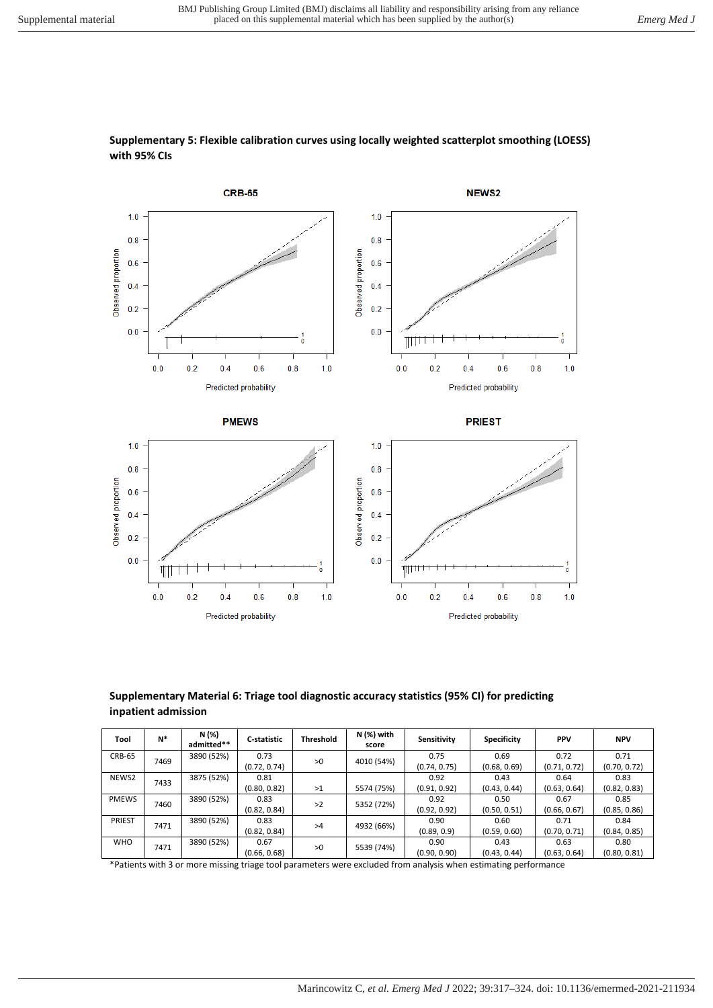

## **Supplementary 5: Flexible calibration curves using locally weighted scatterplot smoothing (LOESS) with 95% CIs**

#### **Supplementary Material 6: Triage tool diagnostic accuracy statistics (95% CI) for predicting inpatient admission**

| Tool                 | $N^*$      | N (%)<br>admitted** | C-statistic  | <b>Threshold</b> | N (%) with<br>score | Sensitivity  | <b>Specificity</b> | <b>PPV</b>   | <b>NPV</b>   |
|----------------------|------------|---------------------|--------------|------------------|---------------------|--------------|--------------------|--------------|--------------|
| <b>CRB-65</b>        | 7469       | 3890 (52%)          | 0.73         | >0               | 4010 (54%)          | 0.75         | 0.69               | 0.72         | 0.71         |
|                      |            |                     | (0.72, 0.74) |                  |                     | (0.74, 0.75) | (0.68, 0.69)       | (0.71, 0.72) | (0.70, 0.72) |
| NEWS2                | 7433       | 3875 (52%)          | 0.81         |                  |                     | 0.92         | 0.43               | 0.64         | 0.83         |
|                      |            | (0.80, 0.82)        | >1           | 5574 (75%)       | (0.91, 0.92)        | (0.43, 0.44) | (0.63, 0.64)       | (0.82, 0.83) |              |
| <b>PMEWS</b><br>7460 | 3890 (52%) | 0.83                | >2           | 5352 (72%)       | 0.92                | 0.50         | 0.67               | 0.85         |              |
|                      |            | (0.82, 0.84)        |              |                  | (0.92, 0.92)        | (0.50, 0.51) | (0.66, 0.67)       | (0.85, 0.86) |              |
| PRIEST<br>7471       | 3890 (52%) | 0.83                | >4           | 4932 (66%)       | 0.90                | 0.60         | 0.71               | 0.84         |              |
|                      |            | (0.82, 0.84)        |              |                  | (0.89, 0.9)         | (0.59, 0.60) | (0.70, 0.71)       | (0.84, 0.85) |              |
| <b>WHO</b>           |            | 3890 (52%)          | 0.67         |                  | 5539 (74%)          | 0.90         | 0.43               | 0.63         | 0.80         |
| 7471                 |            | (0.66, 0.68)        | >0           |                  | (0.90, 0.90)        | (0.43, 0.44) | (0.63, 0.64)       | (0.80, 0.81) |              |

\*Patients with 3 or more missing triage tool parameters were excluded from analysis when estimating performance